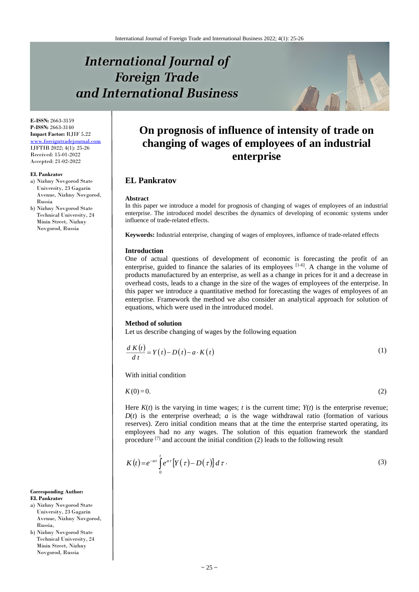# **International Journal of Foreign Trade** and International Business



**E-ISSN:** 2663-3159 **P-ISSN:** 2663-3140 **Impact Factor:** RJIF 5.22 [www.foreigntradejournal.com](http://www.foreigntradejournal.com/) IJFTIB 2022; 4(1): 25-26 Received: 15-01-2022 Accepted: 21-02-2022

#### **EL Pankratov**

a) Nizhny Novgorod State University, 23 Gagarin Avenue*,* Nizhny Novgorod, Russia

b) Nizhny Novgorod State Technical University, 24 Minin Street*,* Nizhny Novgorod, Russia

## **On prognosis of influence of intensity of trade on changing of wages of employees of an industrial enterprise**

### **EL Pankratov**

#### **Abstract**

In this paper we introduce a model for prognosis of changing of wages of employees of an industrial enterprise. The introduced model describes the dynamics of developing of economic systems under influence of trade-related effects.

**Keywords:** Industrial enterprise, changing of wages of employees, influence of trade-related effects

#### **Introduction**

One of actual questions of development of economic is forecasting the profit of an enterprise, guided to finance the salaries of its employees  $[1-6]$ . A change in the volume of products manufactured by an enterprise, as well as a change in prices for it and a decrease in overhead costs, leads to a change in the size of the wages of employees of the enterprise. In this paper we introduce a quantitative method for forecasting the wages of employees of an enterprise. Framework the method we also consider an analytical approach for solution of equations, which were used in the introduced model.

#### **Method of solution**

Let us describe changing of wages by the following equation

$$
\frac{d K(t)}{dt} = Y(t) - D(t) - a \cdot K(t)
$$
\n(1)

With initial condition

$$
K(0) = 0.\tag{2}
$$

Here  $K(t)$  is the varying in time wages; *t* is the current time;  $Y(t)$  is the enterprise revenue;  $D(t)$  is the enterprise overhead; *a* is the wage withdrawal ratio (formation of various reserves). Zero initial condition means that at the time the enterprise started operating, its employees had no any wages. The solution of this equation framework the standard procedure  $[7]$  and account the initial condition (2) leads to the following result

$$
K(t) = e^{-at} \int_{0}^{t} e^{at} \left[ Y(\tau) - D(\tau) \right] d\tau \tag{3}
$$

#### **Corresponding Author: EL Pankratov**

- a) Nizhny Novgorod State University, 23 Gagarin Avenue*,* Nizhny Novgorod, Russia,
- b) Nizhny Novgorod State Technical University, 24 Minin Street*,* Nizhny Novgorod, Russia